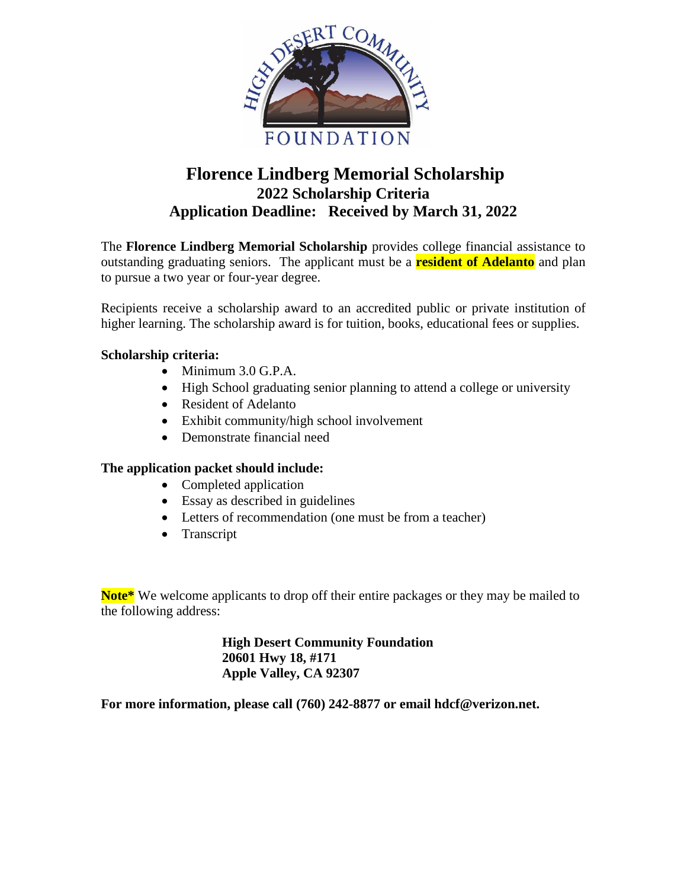

# **Florence Lindberg Memorial Scholarship 2022 Scholarship Criteria Application Deadline: Received by March 31, 2022**

The **Florence Lindberg Memorial Scholarship** provides college financial assistance to outstanding graduating seniors. The applicant must be a **resident of Adelanto** and plan to pursue a two year or four-year degree.

Recipients receive a scholarship award to an accredited public or private institution of higher learning. The scholarship award is for tuition, books, educational fees or supplies.

## **Scholarship criteria:**

- Minimum 3.0 G.P.A.
- High School graduating senior planning to attend a college or university
- Resident of Adelanto
- Exhibit community/high school involvement
- Demonstrate financial need

#### **The application packet should include:**

- Completed application
- Essay as described in guidelines
- Letters of recommendation (one must be from a teacher)
- Transcript

**Note\*** We welcome applicants to drop off their entire packages or they may be mailed to the following address:

> **High Desert Community Foundation 20601 Hwy 18, #171 Apple Valley, CA 92307**

**For more information, please call (760) 242-8877 or email hdcf@verizon.net.**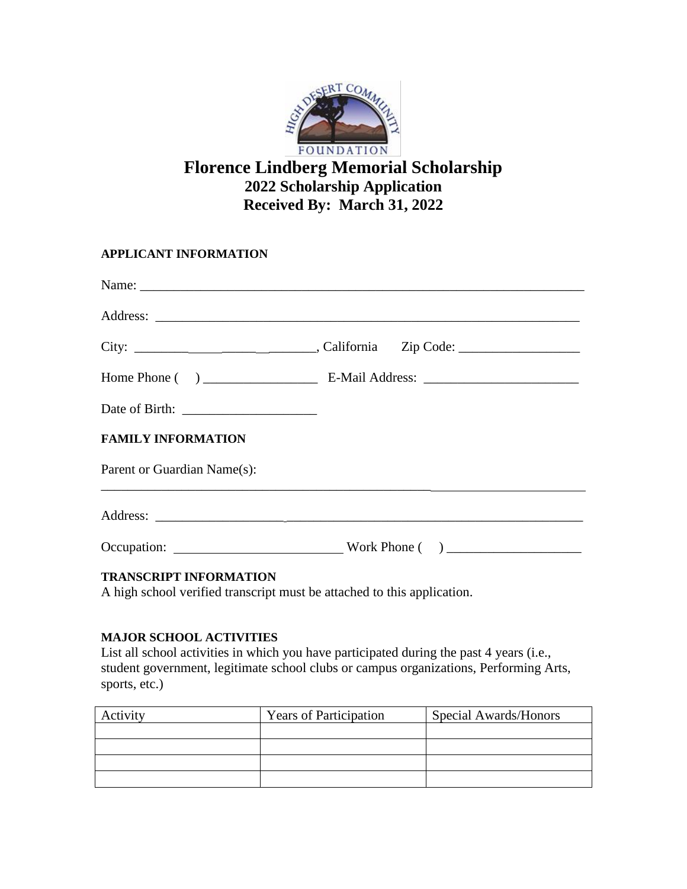

# **Florence Lindberg Memorial Scholarship 2022 Scholarship Application Received By: March 31, 2022**

**APPLICANT INFORMATION**

|                             | City: ___________________________________, California Zip Code: _________________ |
|-----------------------------|-----------------------------------------------------------------------------------|
|                             |                                                                                   |
|                             |                                                                                   |
| <b>FAMILY INFORMATION</b>   |                                                                                   |
| Parent or Guardian Name(s): |                                                                                   |
|                             |                                                                                   |
|                             |                                                                                   |

### **TRANSCRIPT INFORMATION**

A high school verified transcript must be attached to this application.

## **MAJOR SCHOOL ACTIVITIES**

List all school activities in which you have participated during the past 4 years (i.e., student government, legitimate school clubs or campus organizations, Performing Arts, sports, etc.)

| Activity | <b>Years of Participation</b> | Special Awards/Honors |  |  |  |
|----------|-------------------------------|-----------------------|--|--|--|
|          |                               |                       |  |  |  |
|          |                               |                       |  |  |  |
|          |                               |                       |  |  |  |
|          |                               |                       |  |  |  |